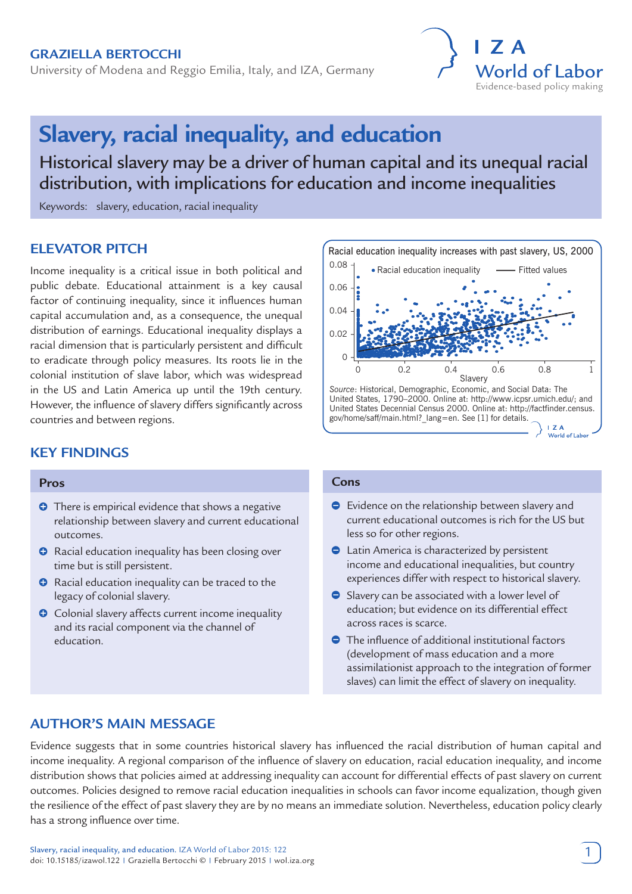## **Graziella Bertocchi**

University of Modena and Reggio Emilia, Italy, and IZA, Germany



# **Slavery, racial inequality, and education**

Historical slavery may be a driver of human capital and its unequal racial distribution, with implications for education and income inequalities

Keywords: slavery, education, racial inequality

# **ELEVATOR PITCH**

Income inequality is a critical issue in both political and public debate. Educational attainment is a key causal factor of continuing inequality, since it influences human capital accumulation and, as a consequence, the unequal distribution of earnings. Educational inequality displays a racial dimension that is particularly persistent and difficult to eradicate through policy measures. Its roots lie in the colonial institution of slave labor, which was widespread in the US and Latin America up until the 19th century. However, the influence of slavery differs significantly across countries and between regions.

## **KEY FINDINGS**

## **Pros**

- **O** There is empirical evidence that shows a negative relationship between slavery and current educational outcomes.
- **O** Racial education inequality has been closing over time but is still persistent.
- $\bullet$  Racial education inequality can be traced to the legacy of colonial slavery.
- **O** Colonial slavery affects current income inequality and its racial component via the channel of education.



#### **Cons**

- Evidence on the relationship between slavery and current educational outcomes is rich for the US but less so for other regions.
- **●** Latin America is characterized by persistent income and educational inequalities, but country experiences differ with respect to historical slavery.
- Slavery can be associated with a lower level of education; but evidence on its differential effect across races is scarce.
- The influence of additional institutional factors (development of mass education and a more assimilationist approach to the integration of former slaves) can limit the effect of slavery on inequality.

# **AUTHOR'S MAIN MESSAGE**

Evidence suggests that in some countries historical slavery has influenced the racial distribution of human capital and income inequality. A regional comparison of the influence of slavery on education, racial education inequality, and income distribution shows that policies aimed at addressing inequality can account for differential effects of past slavery on current outcomes. Policies designed to remove racial education inequalities in schools can favor income equalization, though given the resilience of the effect of past slavery they are by no means an immediate solution. Nevertheless, education policy clearly has a strong influence over time.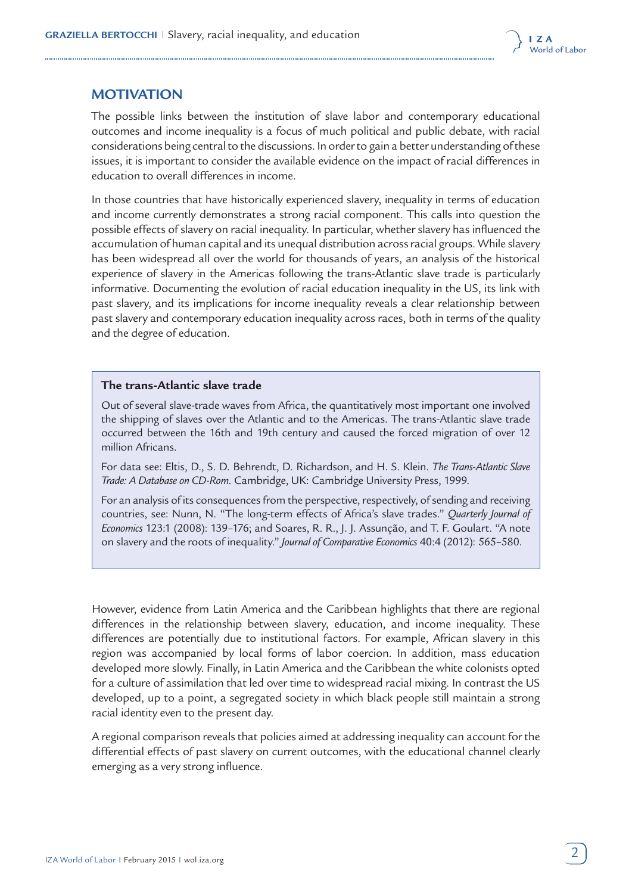

# **MOTIVATION**

The possible links between the institution of slave labor and contemporary educational outcomes and income inequality is a focus of much political and public debate, with racial considerations being central to the discussions. In order to gain a better understanding of these issues, it is important to consider the available evidence on the impact of racial differences in education to overall differences in income.

In those countries that have historically experienced slavery, inequality in terms of education and income currently demonstrates a strong racial component. This calls into question the possible effects of slavery on racial inequality. In particular, whether slavery has influenced the accumulation of human capital and its unequal distribution across racial groups. While slavery has been widespread all over the world for thousands of years, an analysis of the historical experience of slavery in the Americas following the trans-Atlantic slave trade is particularly informative. Documenting the evolution of racial education inequality in the US, its link with past slavery, and its implications for income inequality reveals a clear relationship between past slavery and contemporary education inequality across races, both in terms of the quality and the degree of education.

## **The trans-Atlantic slave trade**

Out of several slave-trade waves from Africa, the quantitatively most important one involved the shipping of slaves over the Atlantic and to the Americas. The trans-Atlantic slave trade occurred between the 16th and 19th century and caused the forced migration of over 12 million Africans.

For data see: Eltis, D., S. D. Behrendt, D. Richardson, and H. S. Klein. *The Trans-Atlantic Slave Trade: A Database on CD-Rom*. Cambridge, UK: Cambridge University Press, 1999.

For an analysis of its consequences from the perspective, respectively, of sending and receiving countries, see: Nunn, N. "The long-term effects of Africa's slave trades." *Quarterly Journal of Economics* 123:1 (2008): 139–176; and Soares, R. R., J. J. Assunção, and T. F. Goulart. "A note on slavery and the roots of inequality." *Journal of Comparative Economics* 40:4 (2012): 565–580.

However, evidence from Latin America and the Caribbean highlights that there are regional differences in the relationship between slavery, education, and income inequality. These differences are potentially due to institutional factors. For example, African slavery in this region was accompanied by local forms of labor coercion. In addition, mass education developed more slowly. Finally, in Latin America and the Caribbean the white colonists opted for a culture of assimilation that led over time to widespread racial mixing. In contrast the US developed, up to a point, a segregated society in which black people still maintain a strong racial identity even to the present day.

A regional comparison reveals that policies aimed at addressing inequality can account for the differential effects of past slavery on current outcomes, with the educational channel clearly emerging as a very strong influence.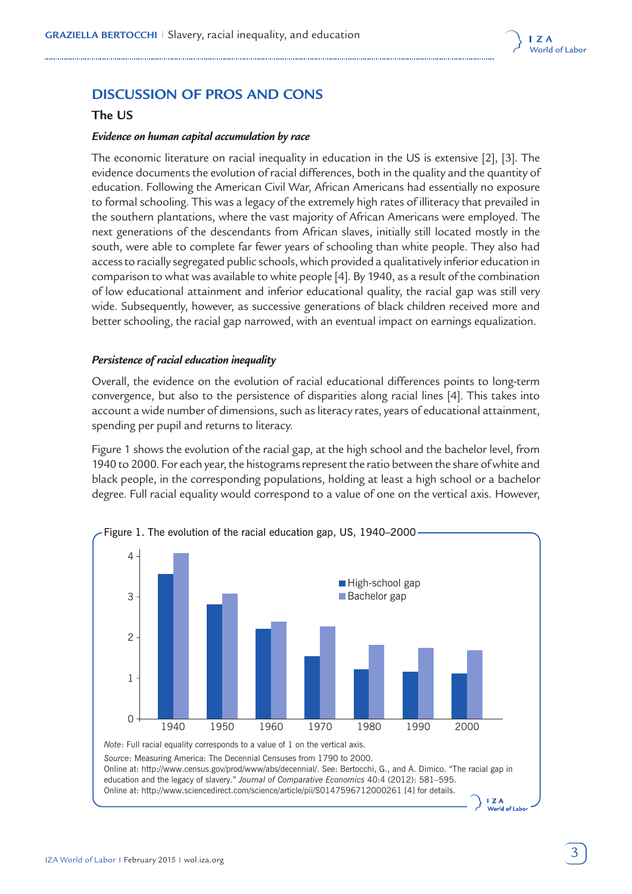

# **DISCUSSION OF PROS AND CONS**

### **The US**

#### *Evidence on human capital accumulation by race*

The economic literature on racial inequality in education in the US is extensive [2], [3]. The evidence documents the evolution of racial differences, both in the quality and the quantity of education. Following the American Civil War, African Americans had essentially no exposure to formal schooling. This was a legacy of the extremely high rates of illiteracy that prevailed in the southern plantations, where the vast majority of African Americans were employed. The next generations of the descendants from African slaves, initially still located mostly in the south, were able to complete far fewer years of schooling than white people. They also had access to racially segregated public schools, which provided a qualitatively inferior education in comparison to what was available to white people [4]. By 1940, as a result of the combination of low educational attainment and inferior educational quality, the racial gap was still very wide. Subsequently, however, as successive generations of black children received more and better schooling, the racial gap narrowed, with an eventual impact on earnings equalization.

#### *Persistence of racial education inequality*

Overall, the evidence on the evolution of racial educational differences points to long-term convergence, but also to the persistence of disparities along racial lines [4]. This takes into account a wide number of dimensions, such as literacy rates, years of educational attainment, spending per pupil and returns to literacy.

Figure 1 shows the evolution of the racial gap, at the high school and the bachelor level, from 1940 to 2000. For each year, the histograms represent the ratio between the share of white and black people, in the corresponding populations, holding at least a high school or a bachelor degree. Full racial equality would correspond to a value of one on the vertical axis. However,





 $17A$ World of Labo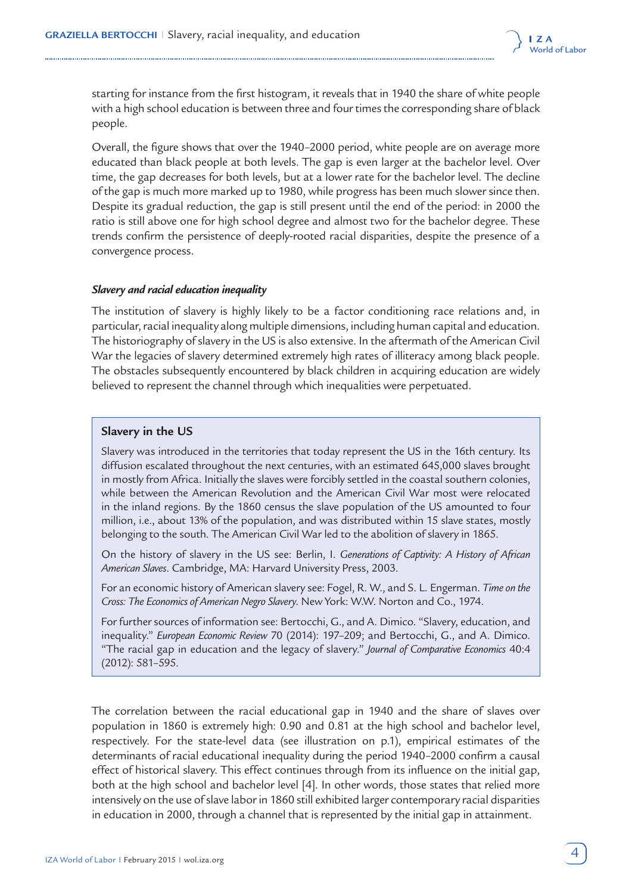

starting for instance from the first histogram, it reveals that in 1940 the share of white people with a high school education is between three and four times the corresponding share of black people.

Overall, the figure shows that over the 1940–2000 period, white people are on average more educated than black people at both levels. The gap is even larger at the bachelor level. Over time, the gap decreases for both levels, but at a lower rate for the bachelor level. The decline of the gap is much more marked up to 1980, while progress has been much slower since then. Despite its gradual reduction, the gap is still present until the end of the period: in 2000 the ratio is still above one for high school degree and almost two for the bachelor degree. These trends confirm the persistence of deeply-rooted racial disparities, despite the presence of a convergence process.

### *Slavery and racial education inequality*

The institution of slavery is highly likely to be a factor conditioning race relations and, in particular, racial inequality along multiple dimensions, including human capital and education. The historiography of slavery in the US is also extensive. In the aftermath of the American Civil War the legacies of slavery determined extremely high rates of illiteracy among black people. The obstacles subsequently encountered by black children in acquiring education are widely believed to represent the channel through which inequalities were perpetuated.

#### **Slavery in the US**

Slavery was introduced in the territories that today represent the US in the 16th century. Its diffusion escalated throughout the next centuries, with an estimated 645,000 slaves brought in mostly from Africa. Initially the slaves were forcibly settled in the coastal southern colonies, while between the American Revolution and the American Civil War most were relocated in the inland regions. By the 1860 census the slave population of the US amounted to four million, i.e., about 13% of the population, and was distributed within 15 slave states, mostly belonging to the south. The American Civil War led to the abolition of slavery in 1865.

On the history of slavery in the US see: Berlin, I. *Generations of Captivity: A History of African American Slaves*. Cambridge, MA: Harvard University Press, 2003.

For an economic history of American slavery see: Fogel, R. W., and S. L. Engerman. *Time on the Cross: The Economics of American Negro Slavery*. New York: W.W. Norton and Co., 1974.

For further sources of information see: Bertocchi, G., and A. Dimico. "Slavery, education, and inequality." *European Economic Review* 70 (2014): 197–209; and Bertocchi, G., and A. Dimico. "The racial gap in education and the legacy of slavery." *Journal of Comparative Economics* 40:4 (2012): 581–595.

The correlation between the racial educational gap in 1940 and the share of slaves over population in 1860 is extremely high: 0.90 and 0.81 at the high school and bachelor level, respectively. For the state-level data (see illustration on p.1), empirical estimates of the determinants of racial educational inequality during the period 1940–2000 confirm a causal effect of historical slavery. This effect continues through from its influence on the initial gap, both at the high school and bachelor level [4]. In other words, those states that relied more intensively on the use of slave labor in 1860 still exhibited larger contemporary racial disparities in education in 2000, through a channel that is represented by the initial gap in attainment.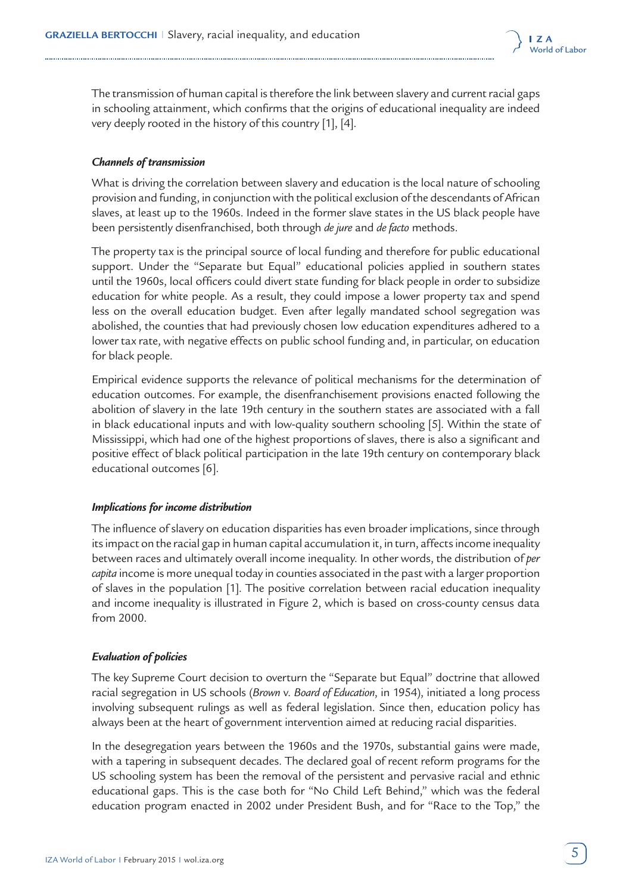

The transmission of human capital is therefore the link between slavery and current racial gaps in schooling attainment, which confirms that the origins of educational inequality are indeed very deeply rooted in the history of this country [1], [4].

## *Channels of transmission*

What is driving the correlation between slavery and education is the local nature of schooling provision and funding, in conjunction with the political exclusion of the descendants of African slaves, at least up to the 1960s. Indeed in the former slave states in the US black people have been persistently disenfranchised, both through *de jure* and *de facto* methods.

The property tax is the principal source of local funding and therefore for public educational support. Under the "Separate but Equal" educational policies applied in southern states until the 1960s, local officers could divert state funding for black people in order to subsidize education for white people. As a result, they could impose a lower property tax and spend less on the overall education budget. Even after legally mandated school segregation was abolished, the counties that had previously chosen low education expenditures adhered to a lower tax rate, with negative effects on public school funding and, in particular, on education for black people.

Empirical evidence supports the relevance of political mechanisms for the determination of education outcomes. For example, the disenfranchisement provisions enacted following the abolition of slavery in the late 19th century in the southern states are associated with a fall in black educational inputs and with low-quality southern schooling [5]. Within the state of Mississippi, which had one of the highest proportions of slaves, there is also a significant and positive effect of black political participation in the late 19th century on contemporary black educational outcomes [6].

### *Implications for income distribution*

The influence of slavery on education disparities has even broader implications, since through its impact on the racial gap in human capital accumulation it, in turn, affects income inequality between races and ultimately overall income inequality. In other words, the distribution of *per capita* income is more unequal today in counties associated in the past with a larger proportion of slaves in the population [1]. The positive correlation between racial education inequality and income inequality is illustrated in Figure 2, which is based on cross-county census data from 2000.

### *Evaluation of policies*

The key Supreme Court decision to overturn the "Separate but Equal" doctrine that allowed racial segregation in US schools (*Brown* v. *Board of Education*, in 1954), initiated a long process involving subsequent rulings as well as federal legislation. Since then, education policy has always been at the heart of government intervention aimed at reducing racial disparities.

In the desegregation years between the 1960s and the 1970s, substantial gains were made, with a tapering in subsequent decades. The declared goal of recent reform programs for the US schooling system has been the removal of the persistent and pervasive racial and ethnic educational gaps. This is the case both for "No Child Left Behind," which was the federal education program enacted in 2002 under President Bush, and for "Race to the Top," the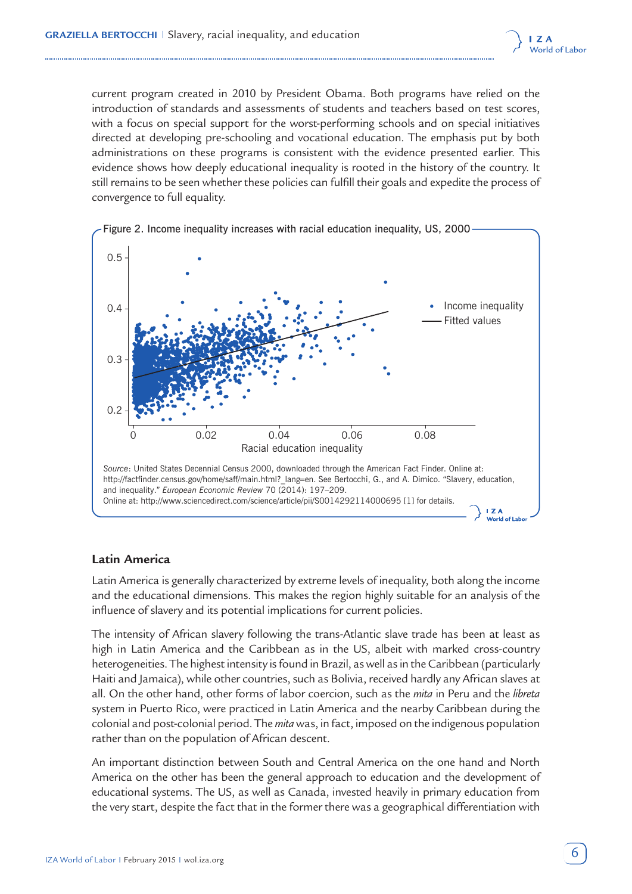

current program created in 2010 by President Obama. Both programs have relied on the introduction of standards and assessments of students and teachers based on test scores, with a focus on special support for the worst-performing schools and on special initiatives directed at developing pre-schooling and vocational education. The emphasis put by both administrations on these programs is consistent with the evidence presented earlier. This evidence shows how deeply educational inequality is rooted in the history of the country. It still remains to be seen whether these policies can fulfill their goals and expedite the process of convergence to full equality.





### **Latin America**

Latin America is generally characterized by extreme levels of inequality, both along the income and the educational dimensions. This makes the region highly suitable for an analysis of the influence of slavery and its potential implications for current policies.

The intensity of African slavery following the trans-Atlantic slave trade has been at least as high in Latin America and the Caribbean as in the US, albeit with marked cross-country heterogeneities. The highest intensity is found in Brazil, as well as in the Caribbean (particularly Haiti and Jamaica), while other countries, such as Bolivia, received hardly any African slaves at all. On the other hand, other forms of labor coercion, such as the *mita* in Peru and the *libreta* system in Puerto Rico, were practiced in Latin America and the nearby Caribbean during the colonial and post-colonial period. The *mita* was, in fact, imposed on the indigenous population rather than on the population of African descent.

An important distinction between South and Central America on the one hand and North America on the other has been the general approach to education and the development of educational systems. The US, as well as Canada, invested heavily in primary education from the very start, despite the fact that in the former there was a geographical differentiation with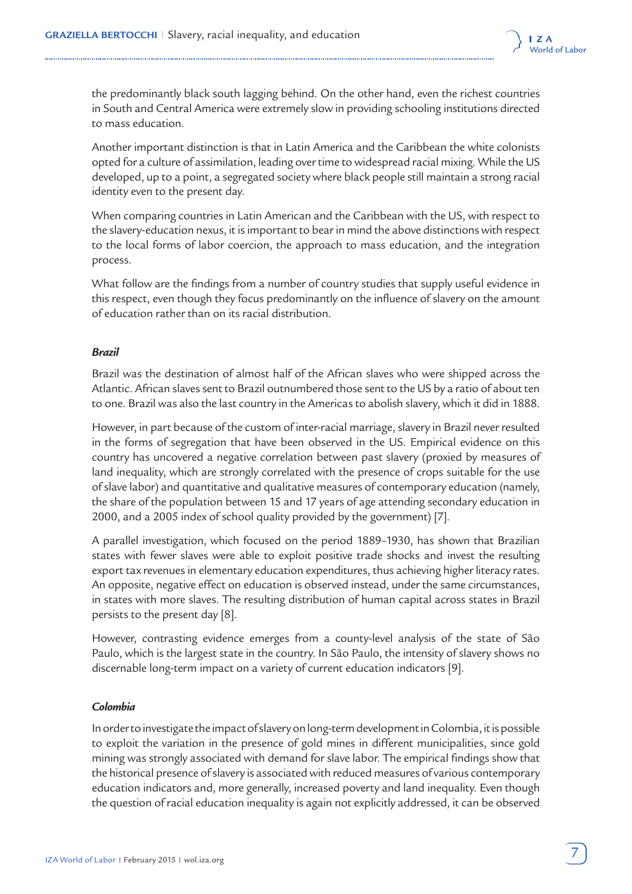

the predominantly black south lagging behind. On the other hand, even the richest countries in South and Central America were extremely slow in providing schooling institutions directed to mass education.

Another important distinction is that in Latin America and the Caribbean the white colonists opted for a culture of assimilation, leading over time to widespread racial mixing. While the US developed, up to a point, a segregated society where black people still maintain a strong racial identity even to the present day.

When comparing countries in Latin American and the Caribbean with the US, with respect to the slavery-education nexus, it is important to bear in mind the above distinctions with respect to the local forms of labor coercion, the approach to mass education, and the integration process.

What follow are the findings from a number of country studies that supply useful evidence in this respect, even though they focus predominantly on the influence of slavery on the amount of education rather than on its racial distribution.

## *Brazil*

Brazil was the destination of almost half of the African slaves who were shipped across the Atlantic. African slaves sent to Brazil outnumbered those sent to the US by a ratio of about ten to one. Brazil was also the last country in the Americas to abolish slavery, which it did in 1888.

However, in part because of the custom of inter-racial marriage, slavery in Brazil never resulted in the forms of segregation that have been observed in the US. Empirical evidence on this country has uncovered a negative correlation between past slavery (proxied by measures of land inequality, which are strongly correlated with the presence of crops suitable for the use of slave labor) and quantitative and qualitative measures of contemporary education (namely, the share of the population between 15 and 17 years of age attending secondary education in 2000, and a 2005 index of school quality provided by the government) [7].

A parallel investigation, which focused on the period 1889–1930, has shown that Brazilian states with fewer slaves were able to exploit positive trade shocks and invest the resulting export tax revenues in elementary education expenditures, thus achieving higher literacy rates. An opposite, negative effect on education is observed instead, under the same circumstances, in states with more slaves. The resulting distribution of human capital across states in Brazil persists to the present day [8].

However, contrasting evidence emerges from a county-level analysis of the state of São Paulo, which is the largest state in the country. In São Paulo, the intensity of slavery shows no discernable long-term impact on a variety of current education indicators [9].

### *Colombia*

In order to investigate the impact of slavery on long-term development in Colombia, it is possible to exploit the variation in the presence of gold mines in different municipalities, since gold mining was strongly associated with demand for slave labor. The empirical findings show that the historical presence of slavery is associated with reduced measures of various contemporary education indicators and, more generally, increased poverty and land inequality. Even though the question of racial education inequality is again not explicitly addressed, it can be observed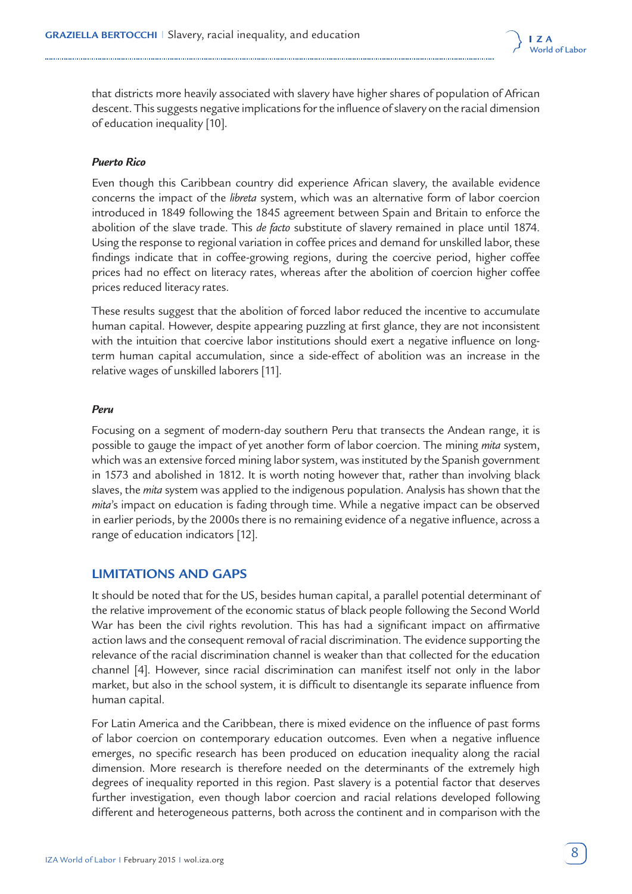

that districts more heavily associated with slavery have higher shares of population of African descent. This suggests negative implications for the influence of slavery on the racial dimension of education inequality [10].

#### *Puerto Rico*

Even though this Caribbean country did experience African slavery, the available evidence concerns the impact of the *libreta* system, which was an alternative form of labor coercion introduced in 1849 following the 1845 agreement between Spain and Britain to enforce the abolition of the slave trade. This *de facto* substitute of slavery remained in place until 1874. Using the response to regional variation in coffee prices and demand for unskilled labor, these findings indicate that in coffee-growing regions, during the coercive period, higher coffee prices had no effect on literacy rates, whereas after the abolition of coercion higher coffee prices reduced literacy rates.

These results suggest that the abolition of forced labor reduced the incentive to accumulate human capital. However, despite appearing puzzling at first glance, they are not inconsistent with the intuition that coercive labor institutions should exert a negative influence on longterm human capital accumulation, since a side-effect of abolition was an increase in the relative wages of unskilled laborers [11].

#### *Peru*

Focusing on a segment of modern-day southern Peru that transects the Andean range, it is possible to gauge the impact of yet another form of labor coercion. The mining *mita* system, which was an extensive forced mining labor system, was instituted by the Spanish government in 1573 and abolished in 1812. It is worth noting however that, rather than involving black slaves, the *mita* system was applied to the indigenous population. Analysis has shown that the *mita*'s impact on education is fading through time. While a negative impact can be observed in earlier periods, by the 2000s there is no remaining evidence of a negative influence, across a range of education indicators [12].

### **LIMITATIONS AND GAPS**

It should be noted that for the US, besides human capital, a parallel potential determinant of the relative improvement of the economic status of black people following the Second World War has been the civil rights revolution. This has had a significant impact on affirmative action laws and the consequent removal of racial discrimination. The evidence supporting the relevance of the racial discrimination channel is weaker than that collected for the education channel [4]. However, since racial discrimination can manifest itself not only in the labor market, but also in the school system, it is difficult to disentangle its separate influence from human capital.

For Latin America and the Caribbean, there is mixed evidence on the influence of past forms of labor coercion on contemporary education outcomes. Even when a negative influence emerges, no specific research has been produced on education inequality along the racial dimension. More research is therefore needed on the determinants of the extremely high degrees of inequality reported in this region. Past slavery is a potential factor that deserves further investigation, even though labor coercion and racial relations developed following different and heterogeneous patterns, both across the continent and in comparison with the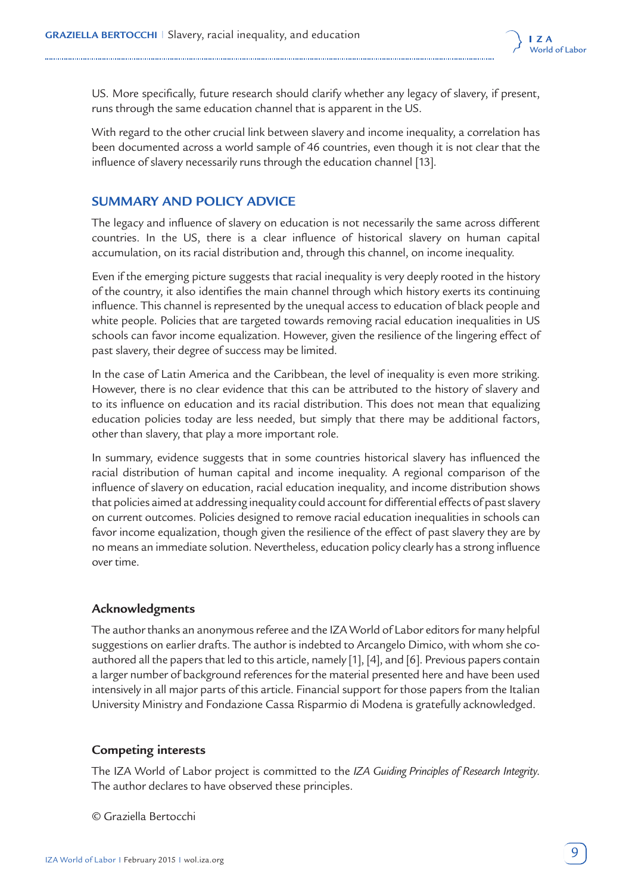

US. More specifically, future research should clarify whether any legacy of slavery, if present, runs through the same education channel that is apparent in the US.

With regard to the other crucial link between slavery and income inequality, a correlation has been documented across a world sample of 46 countries, even though it is not clear that the influence of slavery necessarily runs through the education channel [13].

# **SUMMARY AND POLICY ADVICE**

The legacy and influence of slavery on education is not necessarily the same across different countries. In the US, there is a clear influence of historical slavery on human capital accumulation, on its racial distribution and, through this channel, on income inequality.

Even if the emerging picture suggests that racial inequality is very deeply rooted in the history of the country, it also identifies the main channel through which history exerts its continuing influence. This channel is represented by the unequal access to education of black people and white people. Policies that are targeted towards removing racial education inequalities in US schools can favor income equalization. However, given the resilience of the lingering effect of past slavery, their degree of success may be limited.

In the case of Latin America and the Caribbean, the level of inequality is even more striking. However, there is no clear evidence that this can be attributed to the history of slavery and to its influence on education and its racial distribution. This does not mean that equalizing education policies today are less needed, but simply that there may be additional factors, other than slavery, that play a more important role.

In summary, evidence suggests that in some countries historical slavery has influenced the racial distribution of human capital and income inequality. A regional comparison of the influence of slavery on education, racial education inequality, and income distribution shows that policies aimed at addressing inequality could account for differential effects of past slavery on current outcomes. Policies designed to remove racial education inequalities in schools can favor income equalization, though given the resilience of the effect of past slavery they are by no means an immediate solution. Nevertheless, education policy clearly has a strong influence over time.

### **Acknowledgments**

The author thanks an anonymous referee and the IZA World of Labor editors for many helpful suggestions on earlier drafts. The author is indebted to Arcangelo Dimico, with whom she coauthored all the papers that led to this article, namely [1], [4], and [6]. Previous papers contain a larger number of background references for the material presented here and have been used intensively in all major parts of this article. Financial support for those papers from the Italian University Ministry and Fondazione Cassa Risparmio di Modena is gratefully acknowledged.

### **Competing interests**

The IZA World of Labor project is committed to the *[IZA Guiding Principles of Research Integrity](http://www.iza.org/en/webcontent/about/IZAResearchIntegrity.pdf)*. The author declares to have observed these principles.

© Graziella Bertocchi